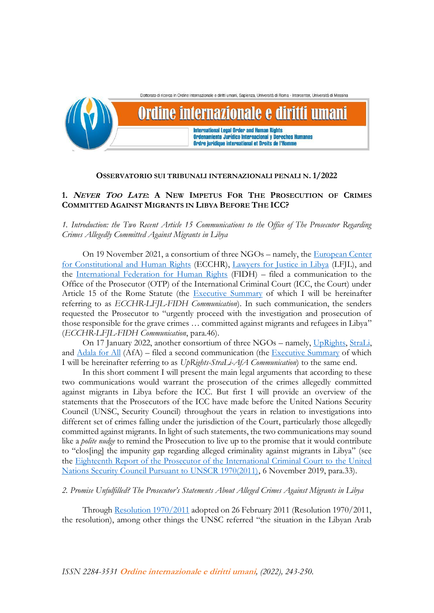

### **OSSERVATORIO SUI TRIBUNALI INTERNAZIONALI PENALI N. 1/2022**

# **1. <sup>N</sup>EVER TOO LATE: A NEW IMPETUS FOR THE PROSECUTION OF CRIMES COMMITTED AGAINST MIGRANTS IN LIBYA BEFORE THE ICC?**

*1. Introduction: the Two Recent Article 15 Communications to the Office of The Prosecutor Regarding Crimes Allegedly Committed Against Migrants in Libya*

On 19 November 2021, a consortium of three NGOs – namely, the [European Center](https://www.ecchr.eu/en/)  [for Constitutional and Human Rights](https://www.ecchr.eu/en/) (ECCHR), [Lawyers for Justice in Libya](https://www.libyanjustice.org/) (LFJL), and the [International Federation for Human Rights](https://www.fidh.org/en) (FIDH) – filed a communication to the Office of the Prosecutor (OTP) of the International Criminal Court (ICC, the Court) under Article 15 of the Rome Statute (the [Executive Summary](https://www.ecchr.eu/fileadmin/Juristische_Dokumente/20211119_Executive_Summary_Libya_ICC_final.pdf) of which I will be hereinafter referring to as *ECCHR-LFJL-FIDH Communication*). In such communication, the senders requested the Prosecutor to "urgently proceed with the investigation and prosecution of those responsible for the grave crimes … committed against migrants and refugees in Libya" (*ECCHR-LFJL-FIDH Communication*, para.46).

On 17 January 2022, another consortium of three NGOs – namely, [UpRights,](https://www.uprights.org/) [StraLi,](https://www.strali.org/)  and [Adala for All](https://adalaforall.org/?lang=en) (AfA) – filed a second communication (the [Executive Summary](https://static1.squarespace.com/static/5eccc1ca80c0dd25fddf363f/t/61ee88b59e426d24e5c79fce/1643022517841/Comm+on+Libya+Executive+Summary.pdf) of which I will be hereinafter referring to as *UpRights-StraLi-AfA Communication*) to the same end.

In this short comment I will present the main legal arguments that according to these two communications would warrant the prosecution of the crimes allegedly committed against migrants in Libya before the ICC. But first I will provide an overview of the statements that the Prosecutors of the ICC have made before the United Nations Security Council (UNSC, Security Council) throughout the years in relation to investigations into different set of crimes falling under the jurisdiction of the Court, particularly those allegedly committed against migrants. In light of such statements, the two communications may sound like a *polite nudge* to remind the Prosecution to live up to the promise that it would contribute to "clos[ing] the impunity gap regarding alleged criminality against migrants in Libya" (see the [Eighteenth Report of the Prosecutor of the International Criminal Court to the United](https://www.icc-cpi.int/itemsDocuments/191024-report-icc-otp-UNSC-libya-eng.pdf)  [Nations Security Council Pursuant to UNSCR 1970\(2011\),](https://www.icc-cpi.int/itemsDocuments/191024-report-icc-otp-UNSC-libya-eng.pdf) 6 November 2019, para.33)*.*

*2. Promise Unfulfilled? The Prosecutor's Statements About Alleged Crimes Against Migrants in Libya* 

Through [Resolution 1970/2011](https://www.un.org/securitycouncil/s/res/1970-%282011%29) adopted on 26 February 2011 (Resolution 1970/2011, the resolution), among other things the UNSC referred "the situation in the Libyan Arab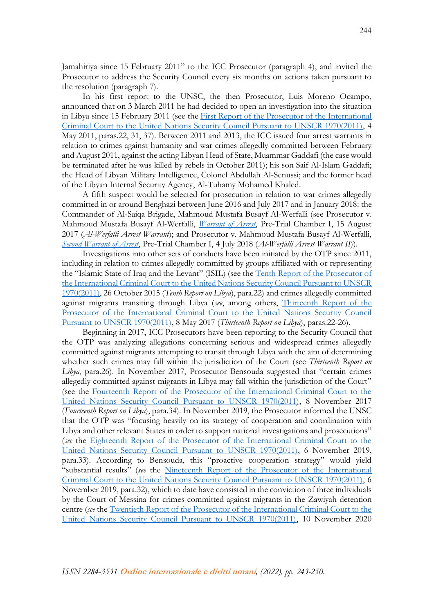Jamahiriya since 15 February 2011" to the ICC Prosecutor (paragraph 4), and invited the Prosecutor to address the Security Council every six months on actions taken pursuant to the resolution (paragraph 7).

In his first report to the UNSC, the then Prosecutor, Luis Moreno Ocampo, announced that on 3 March 2011 he had decided to open an investigation into the situation in Libya since 15 February 2011 (see the [First Report of the Prosecutor of the International](https://www.icc-cpi.int/NR/rdonlyres/A077E5F8-29B6-4A78-9EAB-A179A105738E/0/UNSCLibyaReportEng04052011.pdf)  [Criminal Court to the United Nations Security Council Pursuant to UNSCR 1970\(2011\),](https://www.icc-cpi.int/NR/rdonlyres/A077E5F8-29B6-4A78-9EAB-A179A105738E/0/UNSCLibyaReportEng04052011.pdf) 4 May 2011, paras.22, 31, 37). Between 2011 and 2013, the ICC issued four arrest warrants in relation to crimes against humanity and war crimes allegedly committed between February and August 2011, against the acting Libyan Head of State, Muammar Gaddafi (the case would be terminated after he was killed by rebels in October 2011); his son Saif Al-Islam Gaddafi; the Head of Libyan Military Intelligence, Colonel Abdullah Al-Senussi; and the former head of the Libyan Internal Security Agency, Al-Tuhamy Mohamed Khaled.

A fifth suspect would be selected for prosecution in relation to war crimes allegedly committed in or around Benghazi between June 2016 and July 2017 and in January 2018: the Commander of Al-Saiqa Brigade, Mahmoud Mustafa Busayf Al-Werfalli (see Prosecutor v. Mahmoud Mustafa Busayf Al-Werfalli, *[Warrant of Arrest](https://www.icc-cpi.int/CourtRecords/CR2017_05031.PDF)*, Pre-Trial Chamber I, 15 August 2017 (*Al-Werfalli Arrest Warrant*); and Prosecutor v. Mahmoud Mustafa Busayf Al-Werfalli, *[Second Warrant of Arrest](https://www.icc-cpi.int/CourtRecords/CR2018_03552.PDF)*, Pre-Trial Chamber I, 4 July 2018 (*Al-Werfalli Arrest Warrant II*)).

Investigations into other sets of conducts have been initiated by the OTP since 2011, including in relation to crimes allegedly committed by groups affiliated with or representing the "Islamic State of Iraq and the Levant" (ISIL) (see the Tenth Report of the Prosecutor of [the International Criminal Court to the United Nations Security Council Pursuant to UNSCR](https://www.icc-cpi.int/iccdocs/otp/otp-rep-unsc-05-11-2016-eng.pdf)  [1970\(2011\),](https://www.icc-cpi.int/iccdocs/otp/otp-rep-unsc-05-11-2016-eng.pdf) 26 October 2015 (*Tenth Report on Libya*), para.22) and crimes allegedly committed against migrants transiting through Libya (*see*, among others, [Thirteenth Report of the](https://www.icc-cpi.int/iccdocs/otp/otp-rep-unsc-lib-05-2017-ENG.pdf)  [Prosecutor of the International Criminal Court to the United Nations Security Council](https://www.icc-cpi.int/iccdocs/otp/otp-rep-unsc-lib-05-2017-ENG.pdf)  [Pursuant to UNSCR 1970\(2011\),](https://www.icc-cpi.int/iccdocs/otp/otp-rep-unsc-lib-05-2017-ENG.pdf) 8 May 2017 (*Thirteenth Report on Libya*), paras.22-26).

Beginning in 2017, ICC Prosecutors have been reporting to the Security Council that the OTP was analyzing allegations concerning serious and widespread crimes allegedly committed against migrants attempting to transit through Libya with the aim of determining whether such crimes may fall within the jurisdiction of the Court (see *Thirteenth Report on Libya*, para.26). In November 2017, Prosecutor Bensouda suggested that "certain crimes allegedly committed against migrants in Libya may fall within the jurisdiction of the Court" (see the [Fourteenth Report of the Prosecutor of the International Criminal Court to the](https://www.icc-cpi.int/iccdocs/otp/otp-unsc-lib-11-2017-ENG.pdf)  [United Nations Security Council Pursuant to UNSCR 1970\(2011\),](https://www.icc-cpi.int/iccdocs/otp/otp-unsc-lib-11-2017-ENG.pdf) 8 November 2017 (*Fourteenth Report on Libya*), para.34). In November 2019, the Prosecutor informed the UNSC that the OTP was "focusing heavily on its strategy of cooperation and coordination with Libya and other relevant States in order to support national investigations and prosecutions" (*see* the [Eighteenth Report of the Prosecutor of the International Criminal Court to the](https://www.icc-cpi.int/itemsDocuments/191024-report-icc-otp-UNSC-libya-eng.pdf)  [United Nations Security Council Pursuant to UNSCR 1970\(2011\),](https://www.icc-cpi.int/itemsDocuments/191024-report-icc-otp-UNSC-libya-eng.pdf) 6 November 2019, para.33). According to Bensouda, this "proactive cooperation strategy" would yield "substantial results" (*see* the [Nineteenth Report of the Prosecutor of the International](https://www.icc-cpi.int/itemsDocuments/19th-report-icc-otp-UNSC-libya-ENG.pdf)  [Criminal Court to the United Nations Security Council Pursuant to UNSCR 1970\(2011\),](https://www.icc-cpi.int/itemsDocuments/19th-report-icc-otp-UNSC-libya-ENG.pdf) 6 November 2019, para.32), which to date have consisted in the conviction of three individuals by the Court of Messina for crimes committed against migrants in the Zawiyah detention centre (*see* the [Twentieth Report of the Prosecutor of the International Criminal Court to the](https://www.icc-cpi.int/itemsDocuments/201110-icc-prosecutor-report-unsc-libya-eng.pdf)  [United Nations Security Council Pursuant to UNSCR 1970\(2011\),](https://www.icc-cpi.int/itemsDocuments/201110-icc-prosecutor-report-unsc-libya-eng.pdf) 10 November 2020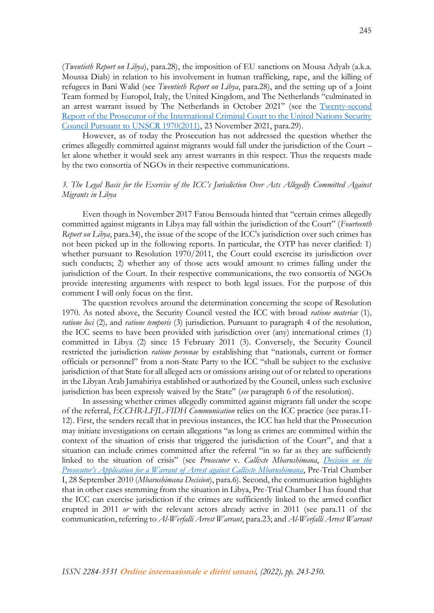(*Twentieth Report on Libya*), para.28), the imposition of EU sanctions on Mousa Adyab (a.k.a. Moussa Diab) in relation to his involvement in human trafficking, rape, and the killing of refugees in Bani Walid (see *Twentieth Report on Libya*, para.28), and the setting up of a Joint Team formed by Europol, Italy, the United Kingdom, and The Netherlands "culminated in an arrest warrant issued by The Netherlands in October 2021" (see the Twenty-second [Report of the Prosecutor of the International Criminal Court to the United Nations Security](https://www.icc-cpi.int/itemsDocuments/20211123-prosecutor-report-unsc-1970-eng.pdf)  [Council Pursuant to UNSCR 1970\(2011\),](https://www.icc-cpi.int/itemsDocuments/20211123-prosecutor-report-unsc-1970-eng.pdf) 23 November 2021, para.29).

However, as of today the Prosecution has not addressed the question whether the crimes allegedly committed against migrants would fall under the jurisdiction of the Court – let alone whether it would seek any arrest warrants in this respect. Thus the requests made by the two consortia of NGOs in their respective communications.

## *3. The Legal Basis for the Exercise of the ICC's Jurisdiction Over Acts Allegedly Committed Against Migrants in Libya*

Even though in November 2017 Fatou Bensouda hinted that "certain crimes allegedly committed against migrants in Libya may fall within the jurisdiction of the Court" (*Fourteenth Report on Libya*, para.34), the issue of the scope of the ICC's jurisdiction over such crimes has not been picked up in the following reports. In particular, the OTP has never clarified: 1) whether pursuant to Resolution 1970/2011, the Court could exercise its jurisdiction over such conducts; 2) whether any of those acts would amount to crimes falling under the jurisdiction of the Court. In their respective communications, the two consortia of NGOs provide interesting arguments with respect to both legal issues. For the purpose of this comment I will only focus on the first.

The question revolves around the determination concerning the scope of Resolution 1970. As noted above, the Security Council vested the ICC with broad *ratione materiae* (1)*, ratione loci* (2)*,* and *ratione temporis* (3) jurisdiction. Pursuant to paragraph 4 of the resolution, the ICC seems to have been provided with jurisdiction over (any) international crimes (1) committed in Libya (2) since 15 February 2011 (3). Conversely, the Security Council restricted the jurisdiction *ratione personae* by establishing that "nationals, current or former officials or personnel" from a non-State Party to the ICC "shall be subject to the exclusive jurisdiction of that State for all alleged acts or omissions arising out of or related to operations in the Libyan Arab Jamahiriya established or authorized by the Council, unless such exclusive jurisdiction has been expressly waived by the State" (*see* paragraph 6 of the resolution).

In assessing whether crimes allegedly committed against migrants fall under the scope of the referral, *ECCHR-LFJL-FIDH Communication* relies on the ICC practice (see paras.11- 12). First, the senders recall that in previous instances, the ICC has held that the Prosecution may initiate investigations on certain allegations "as long as crimes are committed within the context of the situation of crisis that triggered the jurisdiction of the Court", and that a situation can include crimes committed after the referral "in so far as they are sufficiently linked to the situation of crisis" (see *Prosecutor* v. *Callixte Mbarushimana*, *[Decision on the](https://www.icc-cpi.int/CourtRecords/CR2010_06674.PDF)  [Prosecutor's Application for a Warrant of Arrest against Callixte Mbarushimana](https://www.icc-cpi.int/CourtRecords/CR2010_06674.PDF)*, Pre-Trial Chamber I, 28 September 2010 (*Mbarushimana Decision*), para.6). Second, the communication highlights that in other cases stemming from the situation in Libya, Pre-Trial Chamber I has found that the ICC can exercise jurisdiction if the crimes are sufficiently linked to the armed conflict erupted in 2011 *or* with the relevant actors already active in 2011 (see para.11 of the communication, referring to *Al-Werfalli Arrest Warrant*, para.23; and *Al-Werfalli Arrest Warrant*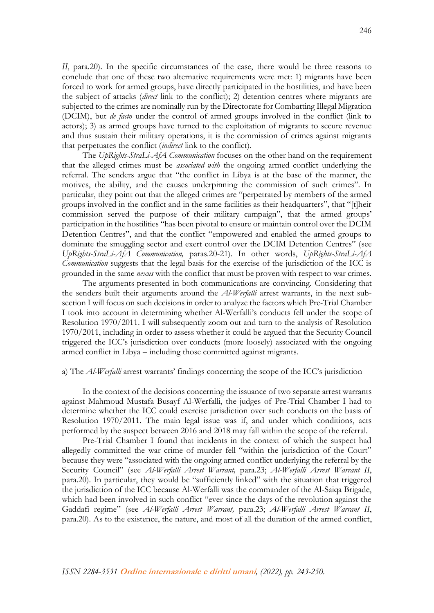*II*, para. 20). In the specific circumstances of the case, there would be three reasons to conclude that one of these two alternative requirements were met: 1) migrants have been forced to work for armed groups, have directly participated in the hostilities, and have been the subject of attacks (*direct* link to the conflict); 2) detention centres where migrants are subjected to the crimes are nominally run by the Directorate for Combatting Illegal Migration (DCIM), but *de facto* under the control of armed groups involved in the conflict (link to actors); 3) as armed groups have turned to the exploitation of migrants to secure revenue and thus sustain their military operations, it is the commission of crimes against migrants that perpetuates the conflict (*indirect* link to the conflict).

The *UpRights-StraLi-AfA Communication* focuses on the other hand on the requirement that the alleged crimes must be *associated with* the ongoing armed conflict underlying the referral. The senders argue that "the conflict in Libya is at the base of the manner, the motives, the ability, and the causes underpinning the commission of such crimes". In particular, they point out that the alleged crimes are "perpetrated by members of the armed groups involved in the conflict and in the same facilities as their headquarters", that "[t]heir commission served the purpose of their military campaign", that the armed groups' participation in the hostilities "has been pivotal to ensure or maintain control over the DCIM Detention Centres", and that the conflict "empowered and enabled the armed groups to dominate the smuggling sector and exert control over the DCIM Detention Centres" (see *UpRights-StraLi-AfA Communication,* paras.20-21). In other words, *UpRights-StraLi-AfA Communication* suggests that the legal basis for the exercise of the jurisdiction of the ICC is grounded in the same *nexus* with the conflict that must be proven with respect to war crimes.

The arguments presented in both communications are convincing. Considering that the senders built their arguments around the *Al-Werfalli* arrest warrants, in the next subsection I will focus on such decisions in order to analyze the factors which Pre-Trial Chamber I took into account in determining whether Al-Werfalli's conducts fell under the scope of Resolution 1970/2011. I will subsequently zoom out and turn to the analysis of Resolution 1970/2011, including in order to assess whether it could be argued that the Security Council triggered the ICC's jurisdiction over conducts (more loosely) associated with the ongoing armed conflict in Libya – including those committed against migrants.

#### a) The *Al-Werfalli* arrest warrants' findings concerning the scope of the ICC's jurisdiction

In the context of the decisions concerning the issuance of two separate arrest warrants against Mahmoud Mustafa Busayf Al-Werfalli, the judges of Pre-Trial Chamber I had to determine whether the ICC could exercise jurisdiction over such conducts on the basis of Resolution 1970/2011. The main legal issue was if, and under which conditions, acts performed by the suspect between 2016 and 2018 may fall within the scope of the referral.

Pre-Trial Chamber I found that incidents in the context of which the suspect had allegedly committed the war crime of murder fell "within the jurisdiction of the Court" because they were "associated with the ongoing armed conflict underlying the referral by the Security Council" (see *Al-Werfalli Arrest Warrant,* para.23; *Al-Werfalli Arrest Warrant II*, para.20). In particular, they would be "sufficiently linked" with the situation that triggered the jurisdiction of the ICC because Al-Werfalli was the commander of the Al-Saiqa Brigade, which had been involved in such conflict "ever since the days of the revolution against the Gaddafi regime" (see *Al-Werfalli Arrest Warrant,* para.23; *Al-Werfalli Arrest Warrant II*, para.20). As to the existence, the nature, and most of all the duration of the armed conflict,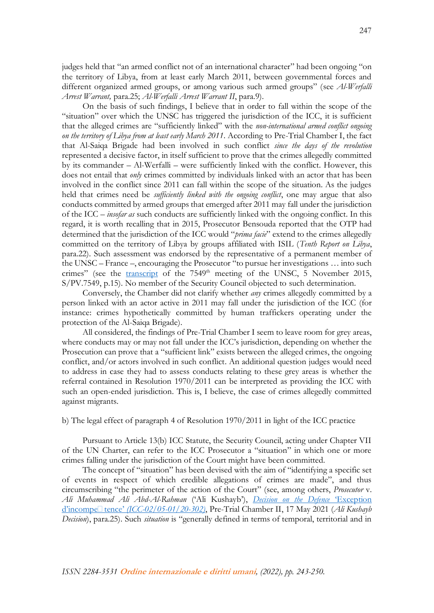judges held that "an armed conflict not of an international character" had been ongoing "on the territory of Libya, from at least early March 2011, between governmental forces and different organized armed groups, or among various such armed groups" (see *Al-Werfalli Arrest Warrant,* para.25; *Al-Werfalli Arrest Warrant II*, para.9).

On the basis of such findings, I believe that in order to fall within the scope of the "situation" over which the UNSC has triggered the jurisdiction of the ICC, it is sufficient that the alleged crimes are "sufficiently linked" with the *non-international armed conflict ongoing on the territory of Libya from at least early March 2011*. According to Pre-Trial Chamber I, the fact that Al-Saiqa Brigade had been involved in such conflict *since the days of the revolution* represented a decisive factor, in itself sufficient to prove that the crimes allegedly committed by its commander  $-Al-Werfall$  – were sufficiently linked with the conflict. However, this does not entail that *only* crimes committed by individuals linked with an actor that has been involved in the conflict since 2011 can fall within the scope of the situation. As the judges held that crimes need be *sufficiently linked with the ongoing conflict*, one may argue that also conducts committed by armed groups that emerged after 2011 may fall under the jurisdiction of the ICC – *insofar as* such conducts are sufficiently linked with the ongoing conflict. In this regard, it is worth recalling that in 2015, Prosecutor Bensouda reported that the OTP had determined that the jurisdiction of the ICC would "*prima facie*" extend to the crimes allegedly committed on the territory of Libya by groups affiliated with ISIL (*Tenth Report on Libya*, para.22). Such assessment was endorsed by the representative of a permanent member of the UNSC – France –, encouraging the Prosecutor "to pursue her investigations … into such crimes" (see the [transcript](https://digitallibrary.un.org/record/809998) of the  $7549<sup>th</sup>$  meeting of the UNSC, 5 November 2015, S/PV.7549, p.15). No member of the Security Council objected to such determination.

Conversely, the Chamber did not clarify whether *any* crimes allegedly committed by a person linked with an actor active in 2011 may fall under the jurisdiction of the ICC (for instance: crimes hypothetically committed by human traffickers operating under the protection of the Al-Saiqa Brigade).

All considered, the findings of Pre-Trial Chamber I seem to leave room for grey areas, where conducts may or may not fall under the ICC's jurisdiction, depending on whether the Prosecution can prove that a "sufficient link" exists between the alleged crimes, the ongoing conflict, and/or actors involved in such conflict. An additional question judges would need to address in case they had to assess conducts relating to these grey areas is whether the referral contained in Resolution 1970/2011 can be interpreted as providing the ICC with such an open-ended jurisdiction. This is, I believe, the case of crimes allegedly committed against migrants.

### b) The legal effect of paragraph 4 of Resolution 1970/2011 in light of the ICC practice

Pursuant to Article 13(b) ICC Statute, the Security Council, acting under Chapter VII of the UN Charter, can refer to the ICC Prosecutor a "situation" in which one or more crimes falling under the jurisdiction of the Court might have been committed.

The concept of "situation" has been devised with the aim of "identifying a specific set of events in respect of which credible allegations of crimes are made", and thus circumscribing "the perimeter of the action of the Court" (see, among others, *Prosecutor* v. *Ali Muhammad Ali Abd-Al-Rahman* ('Ali Kushayb'), *[Decision on the Defence](https://www.icc-cpi.int/CourtRecords/CR2021_04527.PDF)* 'Exception d'incompe∏ tence' *[\(ICC-02/05-01/20-302\)](https://www.icc-cpi.int/CourtRecords/CR2021_04527.PDF)*, Pre-Trial Chamber II, 17 May 2021 (*Ali Kushayb Decision*), para.25). Such *situation* is "generally defined in terms of temporal, territorial and in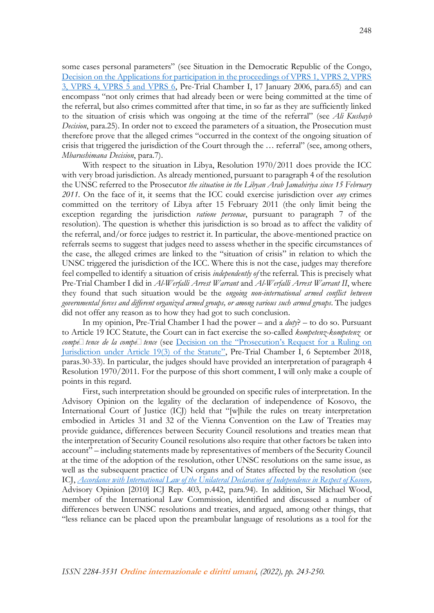some cases personal parameters" (see Situation in the Democratic Republic of the Congo, [Decision on the Applications for participation in the proceedings of VPRS 1, VPRS 2, VPRS](https://www.legal-tools.org/doc/2fe2fc/pdf/)  [3, VPRS 4, VPRS 5 and VPRS 6,](https://www.legal-tools.org/doc/2fe2fc/pdf/) Pre-Trial Chamber I, 17 January 2006, para.65) and can encompass "not only crimes that had already been or were being committed at the time of the referral, but also crimes committed after that time, in so far as they are sufficiently linked to the situation of crisis which was ongoing at the time of the referral" (see *Ali Kushayb Decision*, para.25). In order not to exceed the parameters of a situation, the Prosecution must therefore prove that the alleged crimes "occurred in the context of the ongoing situation of crisis that triggered the jurisdiction of the Court through the … referral" (see, among others, *Mbarushimana Decision*, para.7).

With respect to the situation in Libya, Resolution 1970/2011 does provide the ICC with very broad jurisdiction. As already mentioned, pursuant to paragraph 4 of the resolution the UNSC referred to the Prosecutor *the situation in the Libyan Arab Jamahiriya since 15 February 2011*. On the face of it, it seems that the ICC could exercise jurisdiction over *any* crimes committed on the territory of Libya after 15 February 2011 (the only limit being the exception regarding the jurisdiction *ratione personae*, pursuant to paragraph 7 of the resolution). The question is whether this jurisdiction is so broad as to affect the validity of the referral, and/or force judges to restrict it. In particular, the above-mentioned practice on referrals seems to suggest that judges need to assess whether in the specific circumstances of the case, the alleged crimes are linked to the "situation of crisis" in relation to which the UNSC triggered the jurisdiction of the ICC. Where this is not the case, judges may therefore feel compelled to identify a situation of crisis *independently of* the referral. This is precisely what Pre-Trial Chamber I did in *Al-Werfalli Arrest Warrant* and *Al-Werfalli Arrest Warrant II*, where they found that such situation would be the *ongoing non-international armed conflict between governmental forces and different organized armed groups, or among various such armed groups*. The judges did not offer any reason as to how they had got to such conclusion.

In my opinion, Pre-Trial Chamber I had the power – and a *duty*? – to do so. Pursuant to Article 19 ICC Statute, the Court can in fact exercise the so-called *kompetenz-kompetenz* or *compétence de la compétence* (see Decision on the "Prosecution'[s Request for a Ruling on](https://www.icc-cpi.int/CourtRecords/CR2018_04203.PDF)  [Jurisdiction under Article 19\(3\) of the Statute"](https://www.icc-cpi.int/CourtRecords/CR2018_04203.PDF), Pre-Trial Chamber I, 6 September 2018, paras.30-33). In particular, the judges should have provided an interpretation of paragraph 4 Resolution 1970/2011. For the purpose of this short comment, I will only make a couple of points in this regard.

First, such interpretation should be grounded on specific rules of interpretation. In the Advisory Opinion on the legality of the declaration of independence of Kosovo, the International Court of Justice (ICJ) held that "[w]hile the rules on treaty interpretation embodied in Articles 31 and 32 of the Vienna Convention on the Law of Treaties may provide guidance, differences between Security Council resolutions and treaties mean that the interpretation of Security Council resolutions also require that other factors be taken into account" – including statements made by representatives of members of the Security Council at the time of the adoption of the resolution, other UNSC resolutions on the same issue, as well as the subsequent practice of UN organs and of States affected by the resolution (see ICJ, *[Accordance with International Law of the Unilateral Declaration of Independence in Respect of Kosovo,](https://www.icj-cij.org/public/files/case-related/141/141-20100722-ADV-01-00-EN.pdf)*  Advisory Opinion [2010] ICJ Rep. 403, p.442, para.94). In addition, Sir Michael Wood, member of the International Law Commission, identified and discussed a number of differences between UNSC resolutions and treaties, and argued, among other things, that "less reliance can be placed upon the preambular language of resolutions as a tool for the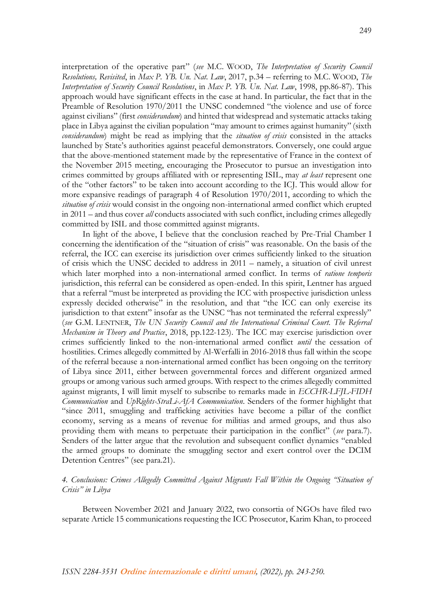interpretation of the operative part" (*see* M.C. WOOD, *The Interpretation of Security Council Resolutions, Revisited*, in *Max P. YB. Un. Nat. Law*, 2017, p.34 – referring to M.C. WOOD, *The Interpretation of Security Council Resolutions*, in *Max P. YB. Un. Nat. Law*, 1998, pp.86-87). This approach would have significant effects in the case at hand. In particular, the fact that in the Preamble of Resolution 1970/2011 the UNSC condemned "the violence and use of force against civilians" (first *considerandum*) and hinted that widespread and systematic attacks taking place in Libya against the civilian population "may amount to crimes against humanity" (sixth *considerandum*) might be read as implying that the *situation of crisis* consisted in the attacks launched by State's authorities against peaceful demonstrators. Conversely, one could argue that the above-mentioned statement made by the representative of France in the context of the November 2015 meeting, encouraging the Prosecutor to pursue an investigation into crimes committed by groups affiliated with or representing ISIL, may *at least* represent one of the "other factors" to be taken into account according to the ICJ. This would allow for more expansive readings of paragraph 4 of Resolution 1970/2011, according to which the *situation of crisis* would consist in the ongoing non-international armed conflict which erupted in 2011 – and thus cover *all* conducts associated with such conflict, including crimes allegedly committed by ISIL and those committed against migrants.

In light of the above, I believe that the conclusion reached by Pre-Trial Chamber I concerning the identification of the "situation of crisis" was reasonable. On the basis of the referral, the ICC can exercise its jurisdiction over crimes sufficiently linked to the situation of crisis which the UNSC decided to address in 2011 – namely, a situation of civil unrest which later morphed into a non-international armed conflict. In terms of *ratione temporis* jurisdiction, this referral can be considered as open-ended. In this spirit, Lentner has argued that a referral "must be interpreted as providing the ICC with prospective jurisdiction unless expressly decided otherwise" in the resolution, and that "the ICC can only exercise its jurisdiction to that extent" insofar as the UNSC "has not terminated the referral expressly" (*see* G.M. LENTNER, *The UN Security Council and the International Criminal Court. The Referral Mechanism in Theory and Practice*, 2018, pp.122-123). The ICC may exercise jurisdiction over crimes sufficiently linked to the non-international armed conflict *until* the cessation of hostilities. Crimes allegedly committed by Al-Werfalli in 2016-2018 thus fall within the scope of the referral because a non-international armed conflict has been ongoing on the territory of Libya since 2011, either between governmental forces and different organized armed groups or among various such armed groups. With respect to the crimes allegedly committed against migrants, I will limit myself to subscribe to remarks made in *ECCHR-LFJL-FIDH Communication* and *UpRights-StraLi-AfA Communication*. Senders of the former highlight that "since 2011, smuggling and trafficking activities have become a pillar of the conflict economy, serving as a means of revenue for militias and armed groups, and thus also providing them with means to perpetuate their participation in the conflict" (*see* para.7). Senders of the latter argue that the revolution and subsequent conflict dynamics "enabled the armed groups to dominate the smuggling sector and exert control over the DCIM Detention Centres" (see para.21).

## *4. Conclusions: Crimes Allegedly Committed Against Migrants Fall Within the Ongoing "Situation of Crisis" in Libya*

Between November 2021 and January 2022, two consortia of NGOs have filed two separate Article 15 communications requesting the ICC Prosecutor, Karim Khan, to proceed